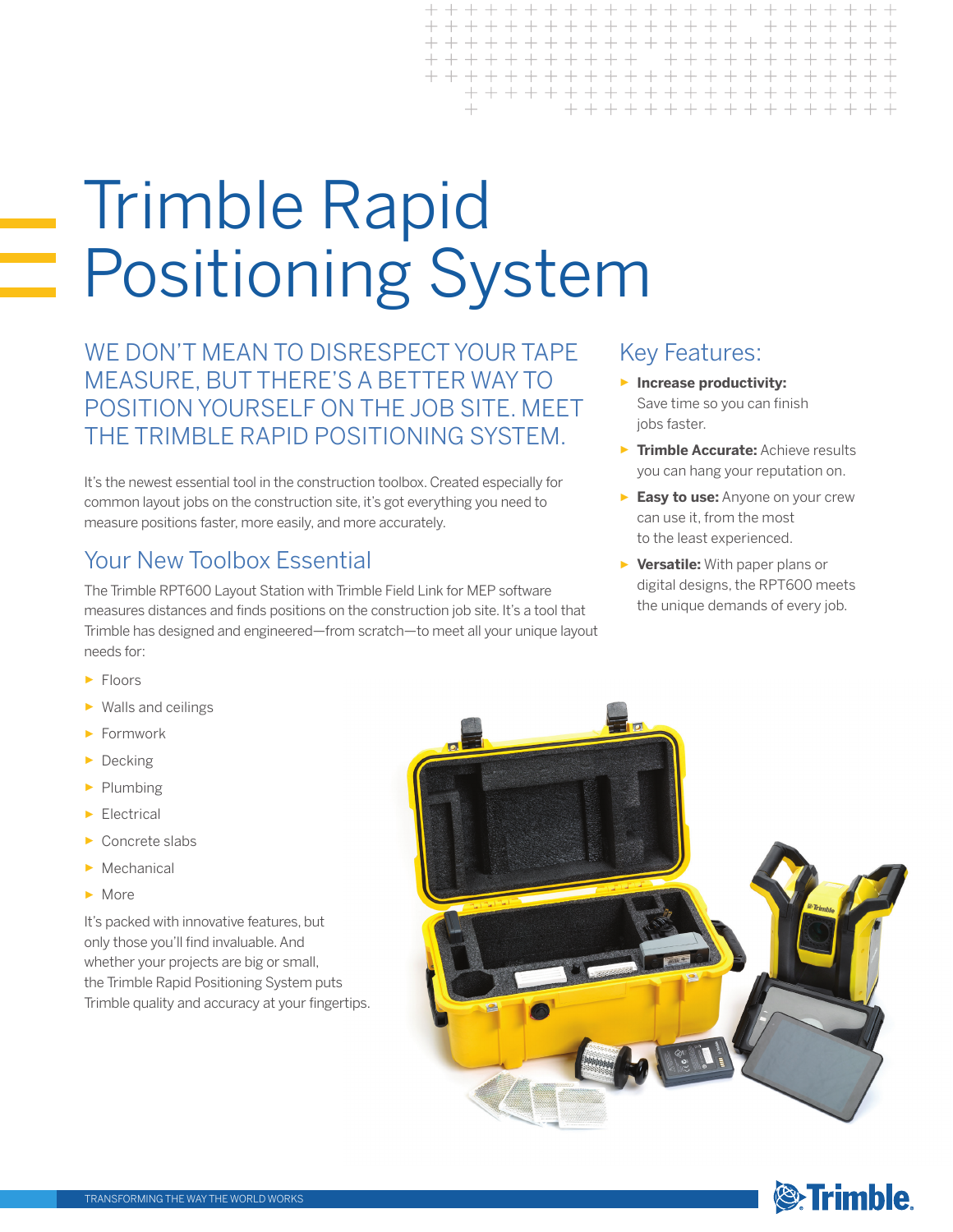# Trimble Rapid Positioning System

WE DON'T MEAN TO DISRESPECT YOUR TAPE MEASURE, BUT THERE'S A BETTER WAY TO POSITION YOURSELF ON THE JOB SITE. MEET THE TRIMBLE RAPID POSITIONING SYSTEM.

It's the newest essential tool in the construction toolbox. Created especially for common layout jobs on the construction site, it's got everything you need to measure positions faster, more easily, and more accurately.

#### Your New Toolbox Essential

The Trimble RPT600 Layout Station with Trimble Field Link for MEP software measures distances and finds positions on the construction job site. It's a tool that Trimble has designed and engineered—from scratch—to meet all your unique layout needs for:

- ► Floors
- ► Walls and ceilings
- ► Formwork
- ► Decking
- ► Plumbing
- ► Electrical
- Concrete slabs
- ► Mechanical
- ► More

It's packed with innovative features, but only those you'll find invaluable. And whether your projects are big or small, the Trimble Rapid Positioning System puts Trimble quality and accuracy at your fingertips.

# + + + + + + + + + + + + + + + + + + + + + + + + + + + + + + + + + + +

 $+ + + + + + + +$ 

 $+ + + + + + + +$ 

+ + + + + + + + +

# Key Features:

- ► **Increase productivity:** Save time so you can finish jobs faster.
- ► **Trimble Accurate:** Achieve results you can hang your reputation on.
- ► **Easy to use:** Anyone on your crew can use it, from the most to the least experienced.
- ► **Versatile:** With paper plans or digital designs, the RPT600 meets the unique demands of every job.